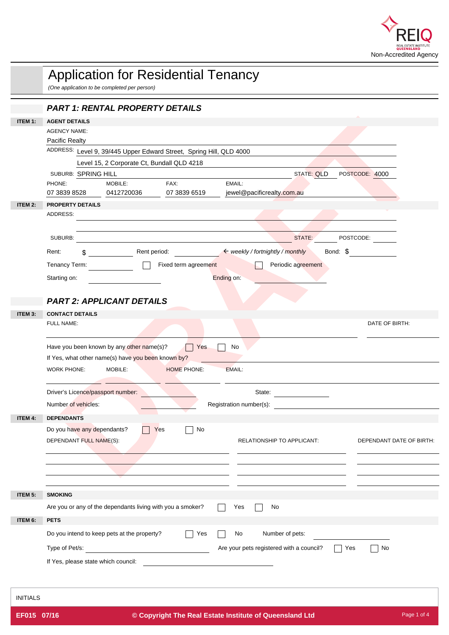

| <b>PART 1: RENTAL PROPERTY DETAILS</b><br>ITEM 1:<br><b>AGENT DETAILS</b><br><b>AGENCY NAME:</b><br><b>Pacific Realty</b><br>ADDRESS: Level 9, 39/445 Upper Edward Street, Spring Hill, QLD 4000<br>Level 15, 2 Corporate Ct, Bundall QLD 4218<br><b>STATE: QLD</b><br>POSTCODE: 4000<br>SUBURB: SPRING HILL<br>PHONE:<br>FAX:<br>EMAIL:<br>MOBILE:<br>07 3839 8528<br>07 3839 6519<br>jewel@pacificrealty.com.au<br>0412720036<br>PROPERTY DETAILS<br>ITEM 2:<br>ADDRESS:<br>STATE:<br>POSTCODE:<br>SUBURB:<br>← weekly / fortnightly / monthly<br>Bond: \$<br>Rent:<br>Rent period:<br>\$<br>Fixed term agreement<br>Periodic agreement<br>Tenancy Term:<br>Ending on:<br>Starting on:<br><b>PART 2: APPLICANT DETAILS</b><br>ITEM 3:<br><b>CONTACT DETAILS</b><br>FULL NAME:<br>DATE OF BIRTH:<br>Have you been known by any other name(s)?<br>$\Box$ Yes<br>No<br>If Yes, what other name(s) have you been known by?<br><b>WORK PHONE:</b><br><b>MOBILE:</b><br><b>HOME PHONE:</b><br>EMAIL:<br>Driver's Licence/passport number:<br>State:<br>Number of vehicles:<br>Registration number(s):<br><b>DEPENDANTS</b><br>ITEM 4:<br>Do you have any dependants?<br>$\Box$ No<br>$ $ Yes<br>DEPENDANT FULL NAME(S):<br>RELATIONSHIP TO APPLICANT:<br>DEPENDANT DATE OF BIRTH:<br><b>SMOKING</b><br>ITEM 5:<br>Are you or any of the dependants living with you a smoker?<br>No<br>Yes<br><b>PETS</b><br>ITEM 6:<br>Do you intend to keep pets at the property?<br>$\Box$ Yes<br>No<br>Number of pets:<br><u>and the state of the state of the state</u><br>Are your pets registered with a council?<br>Type of Pet/s:<br><b>Yes</b><br>No<br>If Yes, please state which council:<br><b>INITIALS</b> | <b>Application for Residential Tenancy</b><br>(One application to be completed per person) |
|-----------------------------------------------------------------------------------------------------------------------------------------------------------------------------------------------------------------------------------------------------------------------------------------------------------------------------------------------------------------------------------------------------------------------------------------------------------------------------------------------------------------------------------------------------------------------------------------------------------------------------------------------------------------------------------------------------------------------------------------------------------------------------------------------------------------------------------------------------------------------------------------------------------------------------------------------------------------------------------------------------------------------------------------------------------------------------------------------------------------------------------------------------------------------------------------------------------------------------------------------------------------------------------------------------------------------------------------------------------------------------------------------------------------------------------------------------------------------------------------------------------------------------------------------------------------------------------------------------------------------------------------------------------------------------------------------------|--------------------------------------------------------------------------------------------|
|                                                                                                                                                                                                                                                                                                                                                                                                                                                                                                                                                                                                                                                                                                                                                                                                                                                                                                                                                                                                                                                                                                                                                                                                                                                                                                                                                                                                                                                                                                                                                                                                                                                                                                     |                                                                                            |
|                                                                                                                                                                                                                                                                                                                                                                                                                                                                                                                                                                                                                                                                                                                                                                                                                                                                                                                                                                                                                                                                                                                                                                                                                                                                                                                                                                                                                                                                                                                                                                                                                                                                                                     |                                                                                            |
|                                                                                                                                                                                                                                                                                                                                                                                                                                                                                                                                                                                                                                                                                                                                                                                                                                                                                                                                                                                                                                                                                                                                                                                                                                                                                                                                                                                                                                                                                                                                                                                                                                                                                                     |                                                                                            |
|                                                                                                                                                                                                                                                                                                                                                                                                                                                                                                                                                                                                                                                                                                                                                                                                                                                                                                                                                                                                                                                                                                                                                                                                                                                                                                                                                                                                                                                                                                                                                                                                                                                                                                     |                                                                                            |
|                                                                                                                                                                                                                                                                                                                                                                                                                                                                                                                                                                                                                                                                                                                                                                                                                                                                                                                                                                                                                                                                                                                                                                                                                                                                                                                                                                                                                                                                                                                                                                                                                                                                                                     |                                                                                            |
|                                                                                                                                                                                                                                                                                                                                                                                                                                                                                                                                                                                                                                                                                                                                                                                                                                                                                                                                                                                                                                                                                                                                                                                                                                                                                                                                                                                                                                                                                                                                                                                                                                                                                                     |                                                                                            |
|                                                                                                                                                                                                                                                                                                                                                                                                                                                                                                                                                                                                                                                                                                                                                                                                                                                                                                                                                                                                                                                                                                                                                                                                                                                                                                                                                                                                                                                                                                                                                                                                                                                                                                     |                                                                                            |
|                                                                                                                                                                                                                                                                                                                                                                                                                                                                                                                                                                                                                                                                                                                                                                                                                                                                                                                                                                                                                                                                                                                                                                                                                                                                                                                                                                                                                                                                                                                                                                                                                                                                                                     |                                                                                            |
|                                                                                                                                                                                                                                                                                                                                                                                                                                                                                                                                                                                                                                                                                                                                                                                                                                                                                                                                                                                                                                                                                                                                                                                                                                                                                                                                                                                                                                                                                                                                                                                                                                                                                                     |                                                                                            |
|                                                                                                                                                                                                                                                                                                                                                                                                                                                                                                                                                                                                                                                                                                                                                                                                                                                                                                                                                                                                                                                                                                                                                                                                                                                                                                                                                                                                                                                                                                                                                                                                                                                                                                     |                                                                                            |
|                                                                                                                                                                                                                                                                                                                                                                                                                                                                                                                                                                                                                                                                                                                                                                                                                                                                                                                                                                                                                                                                                                                                                                                                                                                                                                                                                                                                                                                                                                                                                                                                                                                                                                     |                                                                                            |
|                                                                                                                                                                                                                                                                                                                                                                                                                                                                                                                                                                                                                                                                                                                                                                                                                                                                                                                                                                                                                                                                                                                                                                                                                                                                                                                                                                                                                                                                                                                                                                                                                                                                                                     |                                                                                            |
|                                                                                                                                                                                                                                                                                                                                                                                                                                                                                                                                                                                                                                                                                                                                                                                                                                                                                                                                                                                                                                                                                                                                                                                                                                                                                                                                                                                                                                                                                                                                                                                                                                                                                                     |                                                                                            |
|                                                                                                                                                                                                                                                                                                                                                                                                                                                                                                                                                                                                                                                                                                                                                                                                                                                                                                                                                                                                                                                                                                                                                                                                                                                                                                                                                                                                                                                                                                                                                                                                                                                                                                     |                                                                                            |
|                                                                                                                                                                                                                                                                                                                                                                                                                                                                                                                                                                                                                                                                                                                                                                                                                                                                                                                                                                                                                                                                                                                                                                                                                                                                                                                                                                                                                                                                                                                                                                                                                                                                                                     |                                                                                            |
|                                                                                                                                                                                                                                                                                                                                                                                                                                                                                                                                                                                                                                                                                                                                                                                                                                                                                                                                                                                                                                                                                                                                                                                                                                                                                                                                                                                                                                                                                                                                                                                                                                                                                                     |                                                                                            |
|                                                                                                                                                                                                                                                                                                                                                                                                                                                                                                                                                                                                                                                                                                                                                                                                                                                                                                                                                                                                                                                                                                                                                                                                                                                                                                                                                                                                                                                                                                                                                                                                                                                                                                     |                                                                                            |
|                                                                                                                                                                                                                                                                                                                                                                                                                                                                                                                                                                                                                                                                                                                                                                                                                                                                                                                                                                                                                                                                                                                                                                                                                                                                                                                                                                                                                                                                                                                                                                                                                                                                                                     |                                                                                            |
|                                                                                                                                                                                                                                                                                                                                                                                                                                                                                                                                                                                                                                                                                                                                                                                                                                                                                                                                                                                                                                                                                                                                                                                                                                                                                                                                                                                                                                                                                                                                                                                                                                                                                                     |                                                                                            |
|                                                                                                                                                                                                                                                                                                                                                                                                                                                                                                                                                                                                                                                                                                                                                                                                                                                                                                                                                                                                                                                                                                                                                                                                                                                                                                                                                                                                                                                                                                                                                                                                                                                                                                     |                                                                                            |
|                                                                                                                                                                                                                                                                                                                                                                                                                                                                                                                                                                                                                                                                                                                                                                                                                                                                                                                                                                                                                                                                                                                                                                                                                                                                                                                                                                                                                                                                                                                                                                                                                                                                                                     |                                                                                            |
|                                                                                                                                                                                                                                                                                                                                                                                                                                                                                                                                                                                                                                                                                                                                                                                                                                                                                                                                                                                                                                                                                                                                                                                                                                                                                                                                                                                                                                                                                                                                                                                                                                                                                                     |                                                                                            |
|                                                                                                                                                                                                                                                                                                                                                                                                                                                                                                                                                                                                                                                                                                                                                                                                                                                                                                                                                                                                                                                                                                                                                                                                                                                                                                                                                                                                                                                                                                                                                                                                                                                                                                     |                                                                                            |
|                                                                                                                                                                                                                                                                                                                                                                                                                                                                                                                                                                                                                                                                                                                                                                                                                                                                                                                                                                                                                                                                                                                                                                                                                                                                                                                                                                                                                                                                                                                                                                                                                                                                                                     |                                                                                            |
|                                                                                                                                                                                                                                                                                                                                                                                                                                                                                                                                                                                                                                                                                                                                                                                                                                                                                                                                                                                                                                                                                                                                                                                                                                                                                                                                                                                                                                                                                                                                                                                                                                                                                                     |                                                                                            |
|                                                                                                                                                                                                                                                                                                                                                                                                                                                                                                                                                                                                                                                                                                                                                                                                                                                                                                                                                                                                                                                                                                                                                                                                                                                                                                                                                                                                                                                                                                                                                                                                                                                                                                     |                                                                                            |
|                                                                                                                                                                                                                                                                                                                                                                                                                                                                                                                                                                                                                                                                                                                                                                                                                                                                                                                                                                                                                                                                                                                                                                                                                                                                                                                                                                                                                                                                                                                                                                                                                                                                                                     |                                                                                            |
|                                                                                                                                                                                                                                                                                                                                                                                                                                                                                                                                                                                                                                                                                                                                                                                                                                                                                                                                                                                                                                                                                                                                                                                                                                                                                                                                                                                                                                                                                                                                                                                                                                                                                                     |                                                                                            |
|                                                                                                                                                                                                                                                                                                                                                                                                                                                                                                                                                                                                                                                                                                                                                                                                                                                                                                                                                                                                                                                                                                                                                                                                                                                                                                                                                                                                                                                                                                                                                                                                                                                                                                     |                                                                                            |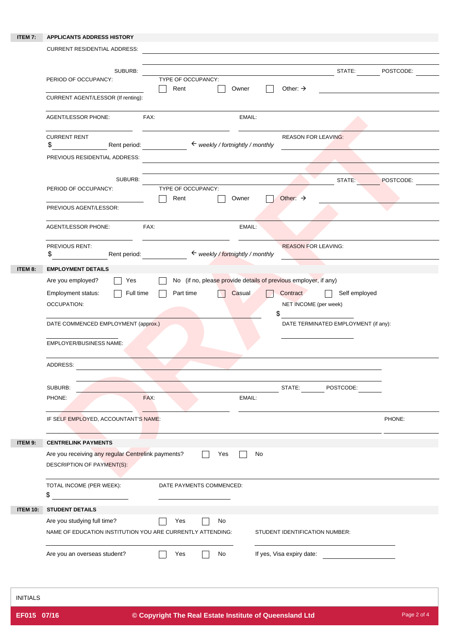## **ITEM 7: APPLICANTS ADDRESS HISTORY**

|         | CURRENT RESIDENTIAL ADDRESS:                                                              |                                             |                                                                 |           |
|---------|-------------------------------------------------------------------------------------------|---------------------------------------------|-----------------------------------------------------------------|-----------|
|         | SUBURB:                                                                                   |                                             | STATE:                                                          | POSTCODE: |
|         | PERIOD OF OCCUPANCY:                                                                      | TYPE OF OCCUPANCY:<br>Rent<br>Owner         | Other: $\rightarrow$                                            |           |
|         | CURRENT AGENT/LESSOR (If renting):                                                        |                                             |                                                                 |           |
|         | <b>AGENT/LESSOR PHONE:</b>                                                                | FAX:<br>EMAIL:                              |                                                                 |           |
|         | <b>CURRENT RENT</b><br>\$<br>Rent period:                                                 | $\leftarrow$ weekly / fortnightly / monthly | <b>REASON FOR LEAVING:</b>                                      |           |
|         | PREVIOUS RESIDENTIAL ADDRESS:                                                             |                                             |                                                                 |           |
|         | SUBURB:                                                                                   |                                             | STATE:                                                          | POSTCODE: |
|         | PERIOD OF OCCUPANCY:                                                                      | TYPE OF OCCUPANCY:<br>Owner<br>Rent         | Other: $\rightarrow$                                            |           |
|         | PREVIOUS AGENT/LESSOR:                                                                    |                                             |                                                                 |           |
|         | <b>AGENT/LESSOR PHONE:</b>                                                                | FAX:<br>EMAIL:                              |                                                                 |           |
|         | PREVIOUS RENT:<br>\$<br>Rent period:                                                      | ← weekly / fortnightly / monthly            | <b>REASON FOR LEAVING:</b>                                      |           |
| ITEM 8: | <b>EMPLOYMENT DETAILS</b>                                                                 |                                             |                                                                 |           |
|         | Are you employed?<br>Yes                                                                  |                                             | No (if no, please provide details of previous employer, if any) |           |
|         | Employment status:<br>$\Box$ Full time                                                    | Casual<br>Part time                         | Contract<br>Self employed                                       |           |
|         | <b>OCCUPATION:</b>                                                                        |                                             | NET INCOME (per week)                                           |           |
|         | DATE COMMENCED EMPLOYMENT (approx.)                                                       |                                             | DATE TERMINATED EMPLOYMENT (if any):                            |           |
|         | <b>EMPLOYER/BUSINESS NAME:</b>                                                            |                                             |                                                                 |           |
|         | ADDRESS:                                                                                  |                                             |                                                                 |           |
|         | SUBURB:                                                                                   |                                             | STATE:<br>POSTCODE:                                             |           |
|         | PHONE:                                                                                    | FAX:<br>EMAIL:                              |                                                                 |           |
|         | IF SELF EMPLOYED, ACCOUNTANT'S NAME:                                                      |                                             |                                                                 | PHONE:    |
| ITEM 9: | <b>CENTRELINK PAYMENTS</b>                                                                |                                             |                                                                 |           |
|         | Are you receiving any regular Centrelink payments?<br>DESCRIPTION OF PAYMENT(S):          | Yes<br>$\mathbf{I}$                         | No                                                              |           |
|         | TOTAL INCOME (PER WEEK):<br>\$                                                            | DATE PAYMENTS COMMENCED:                    |                                                                 |           |
|         | ITEM 10: STUDENT DETAILS                                                                  |                                             |                                                                 |           |
|         | Are you studying full time?<br>NAME OF EDUCATION INSTITUTION YOU ARE CURRENTLY ATTENDING: | $\operatorname{\mathsf{No}}$<br>Yes         | STUDENT IDENTIFICATION NUMBER:                                  |           |
|         | Are you an overseas student?                                                              | No<br>Yes                                   | If yes, Visa expiry date:                                       |           |

INITIALS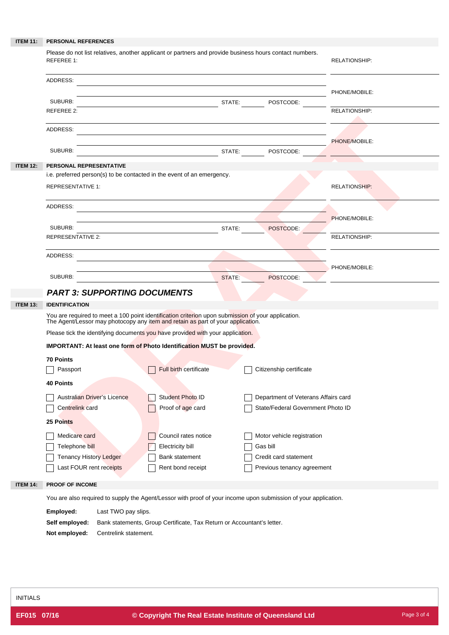|                 | ITEM 11: PERSONAL REFERENCES                                                                                                                                                          |                      |
|-----------------|---------------------------------------------------------------------------------------------------------------------------------------------------------------------------------------|----------------------|
|                 | Please do not list relatives, another applicant or partners and provide business hours contact numbers.<br>REFEREE 1:                                                                 | <b>RELATIONSHIP:</b> |
|                 | ADDRESS:                                                                                                                                                                              |                      |
|                 | SUBURB:<br>STATE:<br>POSTCODE:                                                                                                                                                        | PHONE/MOBILE:        |
|                 | <b>REFEREE 2:</b>                                                                                                                                                                     | <b>RELATIONSHIP:</b> |
|                 | ADDRESS:                                                                                                                                                                              | PHONE/MOBILE:        |
|                 | SUBURB:<br>STATE:<br>POSTCODE:                                                                                                                                                        |                      |
| <b>ITEM 12:</b> | PERSONAL REPRESENTATIVE                                                                                                                                                               |                      |
|                 | i.e. preferred person(s) to be contacted in the event of an emergency.<br><b>REPRESENTATIVE 1:</b>                                                                                    | <b>RELATIONSHIP:</b> |
|                 | ADDRESS:                                                                                                                                                                              | PHONE/MOBILE:        |
|                 | SUBURB:<br>STATE:<br>POSTCODE:                                                                                                                                                        |                      |
|                 | <b>REPRESENTATIVE 2:</b>                                                                                                                                                              | RELATIONSHIP:        |
|                 | ADDRESS:                                                                                                                                                                              | PHONE/MOBILE:        |
|                 | SUBURB:<br>STATE:<br>POSTCODE:                                                                                                                                                        |                      |
|                 | <b>PART 3: SUPPORTING DOCUMENTS</b>                                                                                                                                                   |                      |
| <b>ITEM 13:</b> | <b>IDENTIFICATION</b>                                                                                                                                                                 |                      |
|                 | You are required to meet a 100 point identification criterion upon submission of your application.<br>The Agent/Lessor may photocopy any item and retain as part of your application. |                      |
|                 | Please tick the identifying documents you have provided with your application.                                                                                                        |                      |
|                 | IMPORTANT: At least one form of Photo Identification MUST be provided.                                                                                                                |                      |
|                 | <b>70 Points</b>                                                                                                                                                                      |                      |
|                 | Full birth certificate<br>Citizenship certificate<br>Passport<br>40 Points                                                                                                            |                      |
|                 | Student Photo ID<br>Department of Veterans Affairs card<br>Australian Driver's Licence                                                                                                |                      |
|                 | Proof of age card<br>State/Federal Government Photo ID<br>Centrelink card                                                                                                             |                      |
|                 | 25 Points                                                                                                                                                                             |                      |
|                 | Medicare card<br>Council rates notice<br>Motor vehicle registration                                                                                                                   |                      |
|                 | Telephone bill<br><b>Electricity bill</b><br>Gas bill<br>Credit card statement                                                                                                        |                      |
|                 | <b>Tenancy History Ledger</b><br><b>Bank statement</b><br>Last FOUR rent receipts<br>Rent bond receipt<br>Previous tenancy agreement                                                  |                      |
| <b>ITEM 14:</b> | PROOF OF INCOME                                                                                                                                                                       |                      |
|                 | You are also required to supply the Agent/Lessor with proof of your income upon submission of your application.                                                                       |                      |
|                 | Employed:<br>Last TWO pay slips.<br>Bank statements, Group Certificate, Tax Return or Accountant's letter.<br>Self employed:                                                          |                      |

**Not employed:** Centrelink statement.